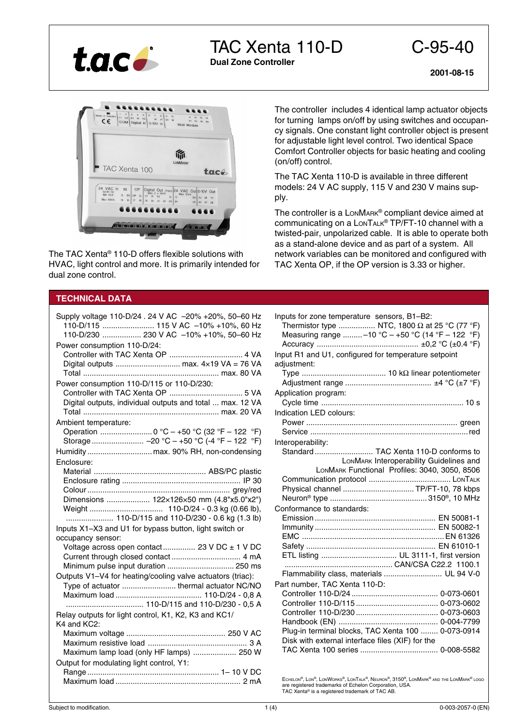

TAC Xenta 110-D C-95-40

**Dual Zone Controller**

**2001-08-15**



The TAC Xenta® 110-D offers flexible solutions with HVAC, light control and more. It is primarily intended for dual zone control.

# **TECHNICAL DATA**

| Supply voltage 110-D/24 . 24 V AC -20% +20%, 50-60 Hz<br>110-D/115  115 V AC -10% +10%, 60 Hz<br>110-D/230  230 V AC -10% +10%, 50-60 Hz<br>Power consumption 110-D/24: |
|-------------------------------------------------------------------------------------------------------------------------------------------------------------------------|
|                                                                                                                                                                         |
| Power consumption 110-D/115 or 110-D/230:                                                                                                                               |
|                                                                                                                                                                         |
| Digital outputs, individual outputs and total  max. 12 VA                                                                                                               |
|                                                                                                                                                                         |
| Ambient temperature:                                                                                                                                                    |
| Operation  0 °C - +50 °C (32 °F - 122 °F)<br>Storage  -20 °C - +50 °C (-4 °F - 122 °F)                                                                                  |
|                                                                                                                                                                         |
|                                                                                                                                                                         |
| Enclosure:                                                                                                                                                              |
|                                                                                                                                                                         |
|                                                                                                                                                                         |
| Dimensions  122x126x50 mm (4.8"x5.0"x2")                                                                                                                                |
|                                                                                                                                                                         |
| 110-D/115 and 110-D/230 - 0.6 kg (1.3 lb)                                                                                                                               |
| Inputs X1-X3 and U1 for bypass button, light switch or                                                                                                                  |
| occupancy sensor:                                                                                                                                                       |
| Voltage across open contact 23 V DC ± 1 V DC                                                                                                                            |
|                                                                                                                                                                         |
|                                                                                                                                                                         |
| Outputs V1-V4 for heating/cooling valve actuators (triac):                                                                                                              |
|                                                                                                                                                                         |
| Type of actuator  thermal actuator NC/NO                                                                                                                                |
|                                                                                                                                                                         |
| 110-D/115 and 110-D/230 - 0,5 A                                                                                                                                         |
| Relay outputs for light control, K1, K2, K3 and KC1/<br>K4 and KC2:                                                                                                     |
|                                                                                                                                                                         |
|                                                                                                                                                                         |
| Maximum lamp load (only HF lamps)  250 W                                                                                                                                |
| Output for modulating light control, Y1:                                                                                                                                |
|                                                                                                                                                                         |

The controller includes 4 identical lamp actuator objects for turning lamps on/off by using switches and occupancy signals. One constant light controller object is present for adjustable light level control. Two identical Space Comfort Controller objects for basic heating and cooling (on/off) control.

The TAC Xenta 110-D is available in three different models: 24 V AC supply, 115 V and 230 V mains supply.

The controller is a LONMARK® compliant device aimed at communicating on a LONTALK® TP/FT-10 channel with a twisted-pair, unpolarized cable. It is able to operate both as a stand-alone device and as part of a system. All network variables can be monitored and configured with TAC Xenta OP, if the OP version is 3.33 or higher.

| Inputs for zone temperature sensors, B1-B2:<br>Thermistor type  NTC, 1800 $\Omega$ at 25 °C (77 °F)<br>Measuring range -10 °C - +50 °C (14 °F - 122 °F)<br>Input R1 and U1, configured for temperature setpoint |
|-----------------------------------------------------------------------------------------------------------------------------------------------------------------------------------------------------------------|
| adjustment:                                                                                                                                                                                                     |
|                                                                                                                                                                                                                 |
| Application program:                                                                                                                                                                                            |
|                                                                                                                                                                                                                 |
| Indication LED colours:                                                                                                                                                                                         |
|                                                                                                                                                                                                                 |
|                                                                                                                                                                                                                 |
| Interoperability:<br>Standard TAC Xenta 110-D conforms to                                                                                                                                                       |
| LONMARK Interoperability Guidelines and                                                                                                                                                                         |
| LONMARK Functional Profiles: 3040, 3050, 8506                                                                                                                                                                   |
|                                                                                                                                                                                                                 |
| Physical channel  TP/FT-10, 78 kbps                                                                                                                                                                             |
|                                                                                                                                                                                                                 |
| Conformance to standards:                                                                                                                                                                                       |
|                                                                                                                                                                                                                 |
|                                                                                                                                                                                                                 |
|                                                                                                                                                                                                                 |
|                                                                                                                                                                                                                 |
|                                                                                                                                                                                                                 |
| CAN/CSA C22.2 1100.1                                                                                                                                                                                            |
| Flammability class, materials  UL 94 V-0                                                                                                                                                                        |
| Part number, TAC Xenta 110-D:                                                                                                                                                                                   |
|                                                                                                                                                                                                                 |
|                                                                                                                                                                                                                 |
|                                                                                                                                                                                                                 |
|                                                                                                                                                                                                                 |
| Plug-in terminal blocks, TAC Xenta 100  0-073-0914                                                                                                                                                              |
| Disk with external interface files (XIF) for the                                                                                                                                                                |
|                                                                                                                                                                                                                 |

ECHELON®, LON®, LONWORKS®, LONTALK®, NEURON®, 3150®, LONMARK® AND THE LONMARK® LOGO are registered trademarks of Echelon Corporation, USA. TAC Xenta® is a registered trademark of TAC AB.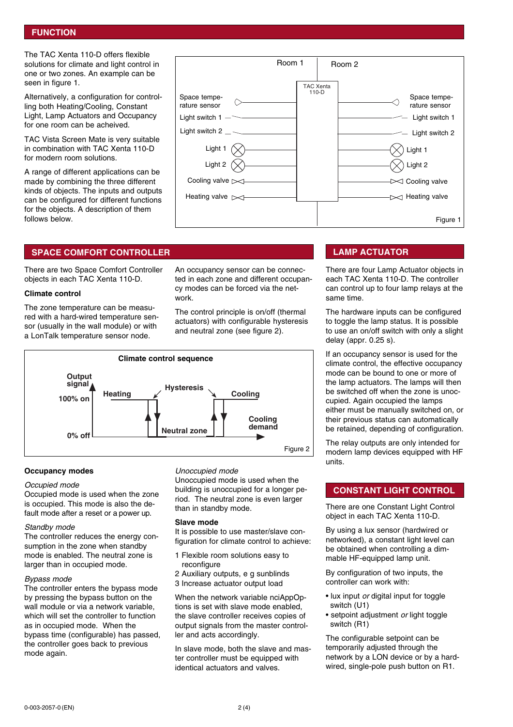## **FUNCTION**

The TAC Xenta 110-D offers flexible solutions for climate and light control in one or two zones. An example can be seen in figure 1.

Alternatively, a configuration for controlling both Heating/Cooling, Constant Light, Lamp Actuators and Occupancy for one room can be acheived.

TAC Vista Screen Mate is very suitable in combination with TAC Xenta 110-D for modern room solutions.

A range of different applications can be made by combining the three different kinds of objects. The inputs and outputs can be configured for different functions for the objects. A description of them follows below.

|                                                                                                                                                        | Room 1                      | Room 2 |                                                                                                                                                     |
|--------------------------------------------------------------------------------------------------------------------------------------------------------|-----------------------------|--------|-----------------------------------------------------------------------------------------------------------------------------------------------------|
| Space tempe-<br>rature sensor<br>Light switch 1<br>Light switch 2 $\_\sim$<br>Light 1<br>Light 2<br>Cooling valve $\bowtie$<br>Heating valve $\bowtie$ | <b>TAC Xenta</b><br>$110-D$ |        | Space tempe-<br>rature sensor<br>Light switch 1<br>Light switch 2<br>Light 1<br>Light 2<br>$\triangleleft$ Cooling valve<br>$\bowtie$ Heating valve |
|                                                                                                                                                        |                             |        | Figure 1                                                                                                                                            |

## **SPACE COMFORT CONTROLLER LAMP ACTUATOR**

There are two Space Comfort Controller objects in each TAC Xenta 110-D.

### **Climate control**

The zone temperature can be measured with a hard-wired temperature sensor (usually in the wall module) or with a LonTalk temperature sensor node.

An occupancy sensor can be connected in each zone and different occupancy modes can be forced via the network.

The control principle is on/off (thermal actuators) with configurable hysteresis and neutral zone (see figure 2).



## **Occupancy modes**

## Occupied mode

Occupied mode is used when the zone is occupied. This mode is also the default mode after a reset or a power up.

### Standby mode

The controller reduces the energy consumption in the zone when standby mode is enabled. The neutral zone is larger than in occupied mode.

### Bypass mode

The controller enters the bypass mode by pressing the bypass button on the wall module or via a network variable, which will set the controller to function as in occupied mode. When the bypass time (configurable) has passed, the controller goes back to previous mode again.

### Unoccupied mode

Unoccupied mode is used when the building is unoccupied for a longer period. The neutral zone is even larger than in standby mode.

### **Slave mode**

It is possible to use master/slave configuration for climate control to achieve:

- 1 Flexible room solutions easy to reconfigure
- 2 Auxiliary outputs, e g sunblinds
- 3 Increase actuator output load

When the network variable nciAppOptions is set with slave mode enabled, the slave controller receives copies of output signals from the master controller and acts accordingly.

In slave mode, both the slave and master controller must be equipped with identical actuators and valves.

There are four Lamp Actuator objects in each TAC Xenta 110-D. The controller can control up to four lamp relays at the same time.

The hardware inputs can be configured to toggle the lamp status. It is possible to use an on/off switch with only a slight delay (appr. 0.25 s).

If an occupancy sensor is used for the climate control, the effective occupancy mode can be bound to one or more of the lamp actuators. The lamps will then be switched off when the zone is unoccupied. Again occupied the lamps either must be manually switched on, or their previous status can automatically be retained, depending of configuration.

The relay outputs are only intended for modern lamp devices equipped with HF units.

## **CONSTANT LIGHT CONTROL**

There are one Constant Light Control object in each TAC Xenta 110-D.

By using a lux sensor (hardwired or networked), a constant light level can be obtained when controlling a dimmable HF-equipped lamp unit.

By configuration of two inputs, the controller can work with:

- lux input or digital input for toggle switch (U1)
- setpoint adjustment or light toggle switch (R1)

The configurable setpoint can be temporarily adjusted through the network by a LON device or by a hardwired, single-pole push button on R1.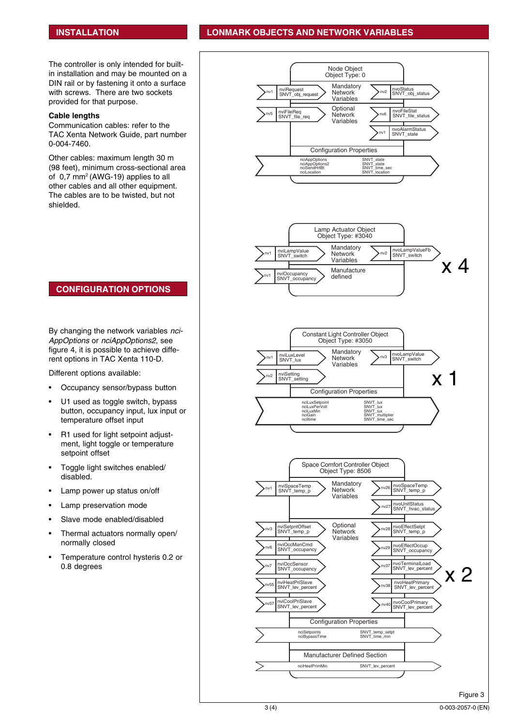# **INSTALLATION LONMARK OBJECTS AND NETWORK VARIABLES**

The controller is only intended for builtin installation and may be mounted on a DIN rail or by fastening it onto a surface with screws. There are two sockets provided for that purpose.

## **Cable lengths**

Communication cables: refer to the TAC Xenta Network Guide, part number 0-004-7460.

Other cables: maximum length 30 m (98 feet), minimum cross-sectional area of 0,7 mm2 (AWG-19) applies to all other cables and all other equipment. The cables are to be twisted, but not shielded.



## **CONFIGURATION OPTIONS**

By changing the network variables nci-AppOptions or nciAppOptions2, see figure 4, it is possible to achieve different options in TAC Xenta 110-D.

Different options available:

- Occupancy sensor/bypass button
- U1 used as toggle switch, bypass button, occupancy input, lux input or temperature offset input
- R1 used for light setpoint adjustment, light toggle or temperature setpoint offset
- Toggle light switches enabled/ disabled.
- Lamp power up status on/off
- Lamp preservation mode
- Slave mode enabled/disabled
- Thermal actuators normally open/ normally closed
- Temperature control hysteris 0.2 or 0.8 degrees